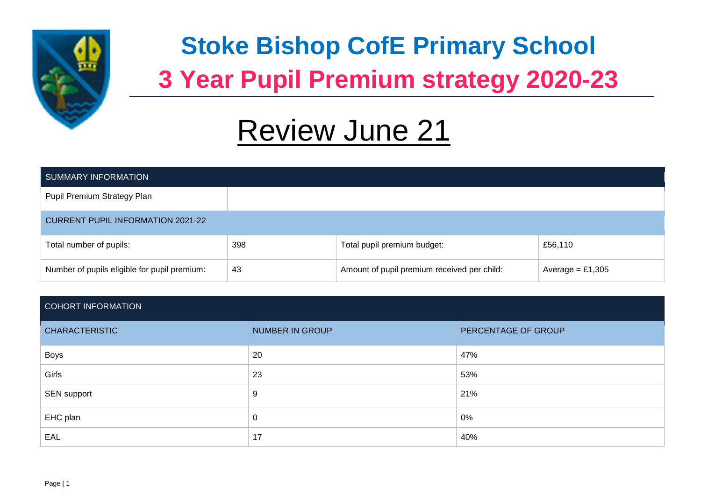

# **Stoke Bishop CofE Primary School 3 Year Pupil Premium strategy 2020-23**

# Review June 21

| SUMMARY INFORMATION                          |     |                                             |                    |  |  |  |
|----------------------------------------------|-----|---------------------------------------------|--------------------|--|--|--|
| Pupil Premium Strategy Plan                  |     |                                             |                    |  |  |  |
| <b>CURRENT PUPIL INFORMATION 2021-22</b>     |     |                                             |                    |  |  |  |
| Total number of pupils:                      | 398 | Total pupil premium budget:                 | £56,110            |  |  |  |
| Number of pupils eligible for pupil premium: | 43  | Amount of pupil premium received per child: | Average = $£1,305$ |  |  |  |

# COHORT INFORMATION

| <b>CHARACTERISTIC</b> | <b>NUMBER IN GROUP</b> | PERCENTAGE OF GROUP |
|-----------------------|------------------------|---------------------|
| Boys                  | 20                     | 47%                 |
| Girls                 | 23                     | 53%                 |
| SEN support           | 9                      | 21%                 |
| EHC plan              | 0                      | 0%                  |
| EAL                   | 17                     | 40%                 |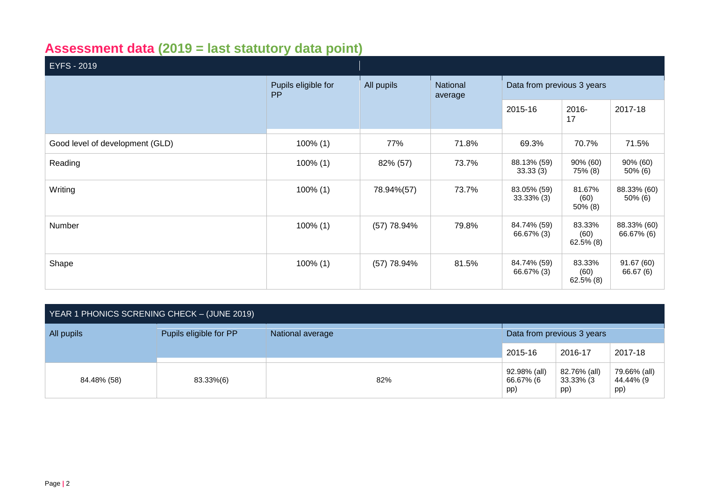# **Assessment data (2019 = last statutory data point)**

| EYFS - 2019                     |                                  |               |                     |                              |                                |                           |
|---------------------------------|----------------------------------|---------------|---------------------|------------------------------|--------------------------------|---------------------------|
|                                 | Pupils eligible for<br><b>PP</b> | All pupils    | National<br>average | Data from previous 3 years   |                                |                           |
|                                 |                                  |               |                     | 2015-16                      | 2016-<br>17                    | 2017-18                   |
| Good level of development (GLD) | $100\%$ (1)                      | 77%           | 71.8%               | 69.3%                        | 70.7%                          | 71.5%                     |
| Reading                         | $100\%$ (1)                      | 82% (57)      | 73.7%               | 88.13% (59)<br>33.33(3)      | 90% (60)<br>75% (8)            | 90% (60)<br>50% (6)       |
| Writing                         | $100\%$ (1)                      | 78.94%(57)    | 73.7%               | 83.05% (59)<br>$33.33\%$ (3) | 81.67%<br>(60)<br>$50\%$ (8)   | 88.33% (60)<br>50% (6)    |
| Number                          | $100\%$ (1)                      | (57) 78.94%   | 79.8%               | 84.74% (59)<br>66.67% (3)    | 83.33%<br>(60)<br>$62.5\%$ (8) | 88.33% (60)<br>66.67% (6) |
| Shape                           | $100\%$ (1)                      | $(57)$ 78.94% | 81.5%               | 84.74% (59)<br>66.67% (3)    | 83.33%<br>(60)<br>$62.5\%$ (8) | 91.67 (60)<br>66.67 (6)   |

| YEAR 1 PHONICS SCRENING CHECK - (JUNE 2019) |                        |                  |                                  |                                  |                                  |  |  |  |
|---------------------------------------------|------------------------|------------------|----------------------------------|----------------------------------|----------------------------------|--|--|--|
| All pupils                                  | Pupils eligible for PP | National average |                                  | Data from previous 3 years       |                                  |  |  |  |
|                                             |                        |                  | 2015-16                          | 2016-17                          | 2017-18                          |  |  |  |
| 84.48% (58)                                 | 83.33%(6)              | 82%              | 92.98% (all)<br>66.67% (6<br>pp) | 82.76% (all)<br>33.33% (3<br>pp) | 79.66% (all)<br>44.44% (9<br>pp) |  |  |  |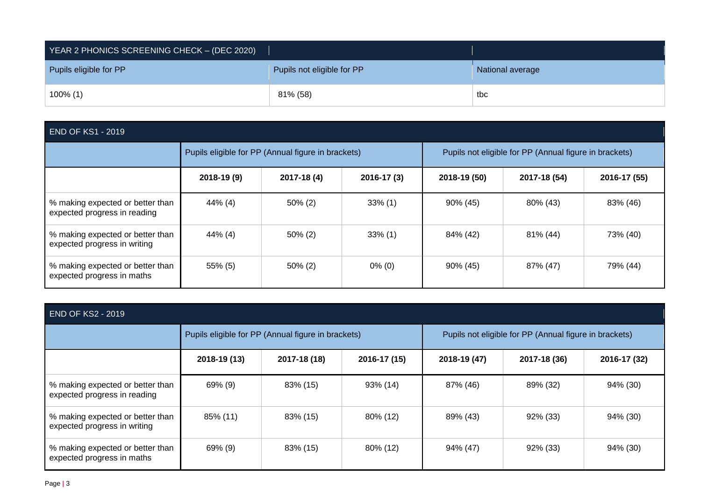| YEAR 2 PHONICS SCREENING CHECK - (DEC 2020) |                            |                  |  |  |  |  |
|---------------------------------------------|----------------------------|------------------|--|--|--|--|
| Pupils eligible for PP                      | Pupils not eligible for PP | National average |  |  |  |  |
| $100\%$ (1)                                 | 81% (58)                   | tbc              |  |  |  |  |

|  | <b>END OF KS1 - 2019</b> |
|--|--------------------------|
|  |                          |

|                                                                  | Pupils eligible for PP (Annual figure in brackets) |             |             | Pupils not eligible for PP (Annual figure in brackets) |              |              |
|------------------------------------------------------------------|----------------------------------------------------|-------------|-------------|--------------------------------------------------------|--------------|--------------|
|                                                                  | 2018-19 (9)                                        | 2017-18 (4) | 2016-17 (3) | 2018-19 (50)                                           | 2017-18 (54) | 2016-17 (55) |
| % making expected or better than<br>expected progress in reading | 44% (4)                                            | $50\%$ (2)  | $33\%$ (1)  | 90% (45)                                               | 80% (43)     | 83% (46)     |
| % making expected or better than<br>expected progress in writing | 44% (4)                                            | $50\%$ (2)  | $33\%$ (1)  | 84% (42)                                               | 81% (44)     | 73% (40)     |
| % making expected or better than<br>expected progress in maths   | 55% (5)                                            | $50\%$ (2)  | $0\%$ (0)   | 90% (45)                                               | 87% (47)     | 79% (44)     |

| <b>END OF KS2 - 2019</b>                                         |                                                    |              |              |                                                        |              |              |  |
|------------------------------------------------------------------|----------------------------------------------------|--------------|--------------|--------------------------------------------------------|--------------|--------------|--|
|                                                                  | Pupils eligible for PP (Annual figure in brackets) |              |              | Pupils not eligible for PP (Annual figure in brackets) |              |              |  |
|                                                                  | 2018-19 (13)                                       | 2017-18 (18) | 2016-17 (15) | 2018-19 (47)                                           | 2017-18 (36) | 2016-17 (32) |  |
| % making expected or better than<br>expected progress in reading | 69% (9)                                            | 83% (15)     | 93% (14)     | 87% (46)                                               | 89% (32)     | 94% (30)     |  |
| % making expected or better than<br>expected progress in writing | 85% (11)                                           | 83% (15)     | 80% (12)     | 89% (43)                                               | $92\%$ (33)  | 94% (30)     |  |
| % making expected or better than<br>expected progress in maths   | 69% (9)                                            | 83% (15)     | 80% (12)     | 94% (47)                                               | 92% (33)     | 94% (30)     |  |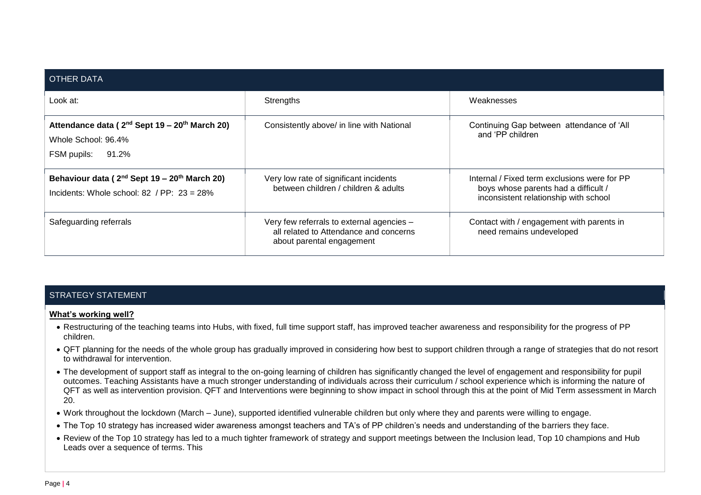| <b>OTHER DATA</b>                                                                                                     |                                                                                                                  |                                                                                                                               |
|-----------------------------------------------------------------------------------------------------------------------|------------------------------------------------------------------------------------------------------------------|-------------------------------------------------------------------------------------------------------------------------------|
| Look at:                                                                                                              | Strengths                                                                                                        | Weaknesses                                                                                                                    |
| Attendance data (2 <sup>nd</sup> Sept 19 – 20 <sup>th</sup> March 20)<br>Whole School: 96.4%<br>FSM pupils: 91.2%     | Consistently above/ in line with National                                                                        | Continuing Gap between attendance of 'All<br>and 'PP children                                                                 |
| Behaviour data (2 <sup>nd</sup> Sept 19 – 20 <sup>th</sup> March 20)<br>Incidents: Whole school: 82 / $PP: 23 = 28\%$ | Very low rate of significant incidents<br>between children / children & adults                                   | Internal / Fixed term exclusions were for PP<br>boys whose parents had a difficult /<br>inconsistent relationship with school |
| Safeguarding referrals                                                                                                | Very few referrals to external agencies -<br>all related to Attendance and concerns<br>about parental engagement | Contact with / engagement with parents in<br>need remains undeveloped                                                         |

# STRATEGY STATEMENT

#### **What's working well?**

- Restructuring of the teaching teams into Hubs, with fixed, full time support staff, has improved teacher awareness and responsibility for the progress of PP children.
- QFT planning for the needs of the whole group has gradually improved in considering how best to support children through a range of strategies that do not resort to withdrawal for intervention.
- The development of support staff as integral to the on-going learning of children has significantly changed the level of engagement and responsibility for pupil outcomes. Teaching Assistants have a much stronger understanding of individuals across their curriculum / school experience which is informing the nature of QFT as well as intervention provision. QFT and Interventions were beginning to show impact in school through this at the point of Mid Term assessment in March 20.
- Work throughout the lockdown (March June), supported identified vulnerable children but only where they and parents were willing to engage.
- The Top 10 strategy has increased wider awareness amongst teachers and TA's of PP children's needs and understanding of the barriers they face.
- Review of the Top 10 strategy has led to a much tighter framework of strategy and support meetings between the Inclusion lead, Top 10 champions and Hub Leads over a sequence of terms. This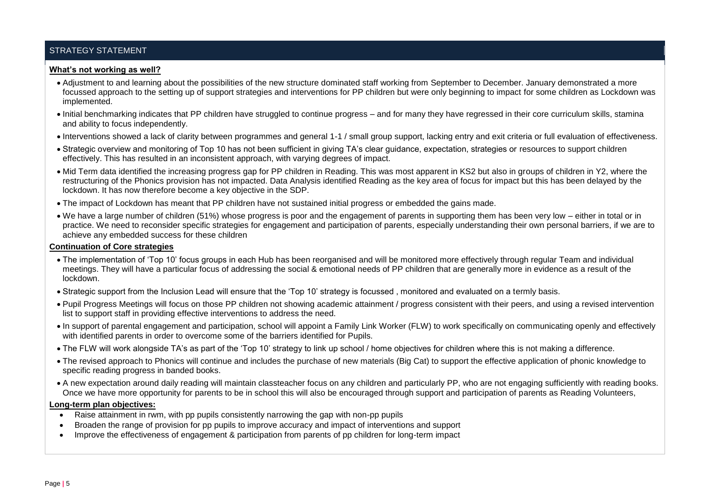# STRATEGY STATEMENT

#### **What's not working as well?**

- Adjustment to and learning about the possibilities of the new structure dominated staff working from September to December. January demonstrated a more focussed approach to the setting up of support strategies and interventions for PP children but were only beginning to impact for some children as Lockdown was implemented.
- Initial benchmarking indicates that PP children have struggled to continue progress and for many they have regressed in their core curriculum skills, stamina and ability to focus independently.
- Interventions showed a lack of clarity between programmes and general 1-1 / small group support, lacking entry and exit criteria or full evaluation of effectiveness.
- Strategic overview and monitoring of Top 10 has not been sufficient in giving TA's clear guidance, expectation, strategies or resources to support children effectively. This has resulted in an inconsistent approach, with varying degrees of impact.
- Mid Term data identified the increasing progress gap for PP children in Reading. This was most apparent in KS2 but also in groups of children in Y2, where the restructuring of the Phonics provision has not impacted. Data Analysis identified Reading as the key area of focus for impact but this has been delayed by the lockdown. It has now therefore become a key objective in the SDP.
- The impact of Lockdown has meant that PP children have not sustained initial progress or embedded the gains made.
- We have a large number of children (51%) whose progress is poor and the engagement of parents in supporting them has been very low either in total or in practice. We need to reconsider specific strategies for engagement and participation of parents, especially understanding their own personal barriers, if we are to achieve any embedded success for these children

#### **Continuation of Core strategies**

- The implementation of 'Top 10' focus groups in each Hub has been reorganised and will be monitored more effectively through regular Team and individual meetings. They will have a particular focus of addressing the social & emotional needs of PP children that are generally more in evidence as a result of the lockdown.
- Strategic support from the Inclusion Lead will ensure that the 'Top 10' strategy is focussed , monitored and evaluated on a termly basis.
- Pupil Progress Meetings will focus on those PP children not showing academic attainment / progress consistent with their peers, and using a revised intervention list to support staff in providing effective interventions to address the need.
- In support of parental engagement and participation, school will appoint a Family Link Worker (FLW) to work specifically on communicating openly and effectively with identified parents in order to overcome some of the barriers identified for Pupils.
- The FLW will work alongside TA's as part of the 'Top 10' strategy to link up school / home objectives for children where this is not making a difference.
- The revised approach to Phonics will continue and includes the purchase of new materials (Big Cat) to support the effective application of phonic knowledge to specific reading progress in banded books.
- A new expectation around daily reading will maintain classteacher focus on any children and particularly PP, who are not engaging sufficiently with reading books. Once we have more opportunity for parents to be in school this will also be encouraged through support and participation of parents as Reading Volunteers,

#### **Long-term plan objectives:**

- Raise attainment in rwm, with pp pupils consistently narrowing the gap with non-pp pupils
- Broaden the range of provision for pp pupils to improve accuracy and impact of interventions and support
- Improve the effectiveness of engagement & participation from parents of pp children for long-term impact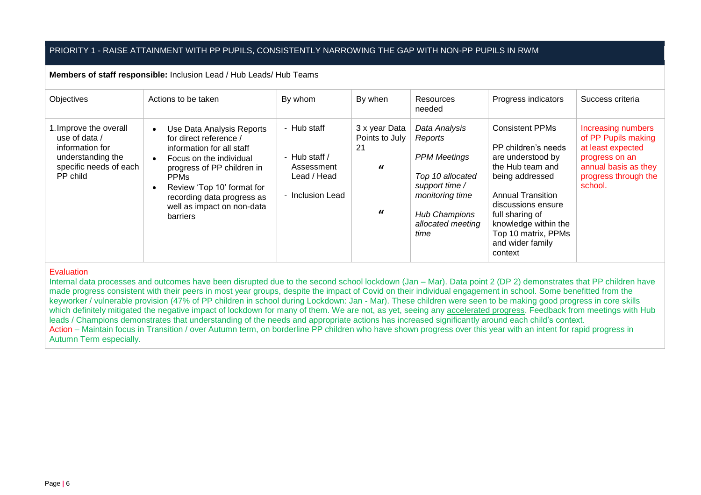# PRIORITY 1 - RAISE ATTAINMENT WITH PP PUPILS, CONSISTENTLY NARROWING THE GAP WITH NON-PP PUPILS IN RWM

#### **Members of staff responsible:** Inclusion Lead / Hub Leads/ Hub Teams

| Objectives                                                                                                            | Actions to be taken                                                                                                                                                                                                                                                         | By whom                                                                         | By when                                                       | Resources<br>needed                                                                                                                                           | Progress indicators                                                                                                                                                                                                                                          | Success criteria                                                                                                                            |
|-----------------------------------------------------------------------------------------------------------------------|-----------------------------------------------------------------------------------------------------------------------------------------------------------------------------------------------------------------------------------------------------------------------------|---------------------------------------------------------------------------------|---------------------------------------------------------------|---------------------------------------------------------------------------------------------------------------------------------------------------------------|--------------------------------------------------------------------------------------------------------------------------------------------------------------------------------------------------------------------------------------------------------------|---------------------------------------------------------------------------------------------------------------------------------------------|
| 1. Improve the overall<br>use of data /<br>information for<br>understanding the<br>specific needs of each<br>PP child | Use Data Analysis Reports<br>$\bullet$<br>for direct reference /<br>information for all staff<br>Focus on the individual<br>progress of PP children in<br><b>PPMs</b><br>Review 'Top 10' format for<br>recording data progress as<br>well as impact on non-data<br>barriers | - Hub staff<br>- Hub staff $/$<br>Assessment<br>Lead / Head<br>- Inclusion Lead | 3 x year Data<br>Points to July<br>21<br>$\bf{u}$<br>$\bf{u}$ | Data Analysis<br>Reports<br><b>PPM Meetings</b><br>Top 10 allocated<br>support time /<br>monitoring time<br><b>Hub Champions</b><br>allocated meeting<br>time | <b>Consistent PPMs</b><br>PP children's needs<br>are understood by<br>the Hub team and<br>being addressed<br><b>Annual Transition</b><br>discussions ensure<br>full sharing of<br>knowledge within the<br>Top 10 matrix, PPMs<br>and wider family<br>context | Increasing numbers<br>of PP Pupils making<br>at least expected<br>progress on an<br>annual basis as they<br>progress through the<br>school. |

#### Evaluation

Internal data processes and outcomes have been disrupted due to the second school lockdown (Jan – Mar). Data point 2 (DP 2) demonstrates that PP children have made progress consistent with their peers in most year groups, despite the impact of Covid on their individual engagement in school. Some benefitted from the keyworker / vulnerable provision (47% of PP children in school during Lockdown: Jan - Mar). These children were seen to be making good progress in core skills which definitely mitigated the negative impact of lockdown for many of them. We are not, as yet, seeing any accelerated progress. Feedback from meetings with Hub leads / Champions demonstrates that understanding of the needs and appropriate actions has increased significantly around each child's context. Action – Maintain focus in Transition / over Autumn term, on borderline PP children who have shown progress over this year with an intent for rapid progress in Autumn Term especially.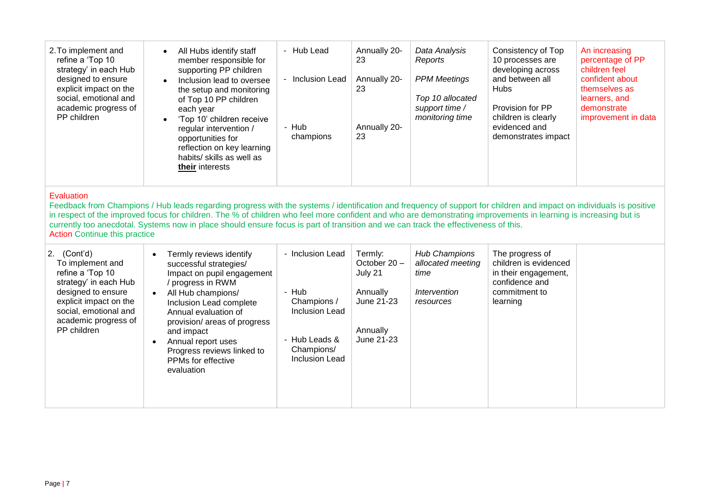| 2. To implement and<br>refine a 'Top 10<br>strategy' in each Hub<br>designed to ensure<br>explicit impact on the<br>social, emotional and<br>academic progress of<br>PP children | All Hubs identify staff<br>$\bullet$<br>member responsible for<br>supporting PP children<br>Inclusion lead to oversee<br>$\bullet$<br>the setup and monitoring<br>of Top 10 PP children<br>each year<br>'Top 10' children receive<br>$\bullet$<br>regular intervention /<br>opportunities for<br>reflection on key learning<br>habits/ skills as well as<br>their interests | - Hub Lead<br>- Inclusion Lead<br>- Hub<br>champions | Annually 20-<br>23<br>Annually 20-<br>23<br>Annually 20-<br>23 | Data Analysis<br>Reports<br><b>PPM Meetings</b><br>Top 10 allocated<br>support time /<br>monitoring time | Consistency of Top<br>10 processes are<br>developing across<br>and between all<br><b>Hubs</b><br>Provision for PP<br>children is clearly<br>evidenced and<br>demonstrates impact | An increasing<br>percentage of PP<br>children feel<br>confident about<br>themselves as<br>learners, and<br>demonstrate<br>improvement in data |
|----------------------------------------------------------------------------------------------------------------------------------------------------------------------------------|-----------------------------------------------------------------------------------------------------------------------------------------------------------------------------------------------------------------------------------------------------------------------------------------------------------------------------------------------------------------------------|------------------------------------------------------|----------------------------------------------------------------|----------------------------------------------------------------------------------------------------------|----------------------------------------------------------------------------------------------------------------------------------------------------------------------------------|-----------------------------------------------------------------------------------------------------------------------------------------------|
|----------------------------------------------------------------------------------------------------------------------------------------------------------------------------------|-----------------------------------------------------------------------------------------------------------------------------------------------------------------------------------------------------------------------------------------------------------------------------------------------------------------------------------------------------------------------------|------------------------------------------------------|----------------------------------------------------------------|----------------------------------------------------------------------------------------------------------|----------------------------------------------------------------------------------------------------------------------------------------------------------------------------------|-----------------------------------------------------------------------------------------------------------------------------------------------|

Feedback from Champions / Hub leads regarding progress with the systems / identification and frequency of support for children and impact on individuals is positive in respect of the improved focus for children. The % of children who feel more confident and who are demonstrating improvements in learning is increasing but is currently too anecdotal. Systems now in place should ensure focus is part of transition and we can track the effectiveness of this. Action Continue this practice

| 2. $(Cont'd)$<br>To implement and<br>refine a 'Top 10<br>strategy' in each Hub<br>designed to ensure<br>explicit impact on the<br>social, emotional and<br>academic progress of<br>PP children | Termly reviews identify<br>successful strategies/<br>Impact on pupil engagement<br>/ progress in RWM<br>All Hub champions/<br>Inclusion Lead complete<br>Annual evaluation of<br>provision/ areas of progress<br>and impact<br>Annual report uses<br>Progress reviews linked to<br>PPMs for effective<br>evaluation | - Inclusion Lead<br>- Hub<br>Champions /<br><b>Inclusion Lead</b><br>- Hub Leads &<br>Champions/<br><b>Inclusion Lead</b> | Termly:<br>October 20 -<br>July 21<br>Annually<br>June 21-23<br>Annually<br>June 21-23 | <b>Hub Champions</b><br>allocated meeting<br>time<br>Intervention<br>resources | The progress of<br>children is evidenced<br>in their engagement,<br>confidence and<br>commitment to<br>learning |  |
|------------------------------------------------------------------------------------------------------------------------------------------------------------------------------------------------|---------------------------------------------------------------------------------------------------------------------------------------------------------------------------------------------------------------------------------------------------------------------------------------------------------------------|---------------------------------------------------------------------------------------------------------------------------|----------------------------------------------------------------------------------------|--------------------------------------------------------------------------------|-----------------------------------------------------------------------------------------------------------------|--|
|------------------------------------------------------------------------------------------------------------------------------------------------------------------------------------------------|---------------------------------------------------------------------------------------------------------------------------------------------------------------------------------------------------------------------------------------------------------------------------------------------------------------------|---------------------------------------------------------------------------------------------------------------------------|----------------------------------------------------------------------------------------|--------------------------------------------------------------------------------|-----------------------------------------------------------------------------------------------------------------|--|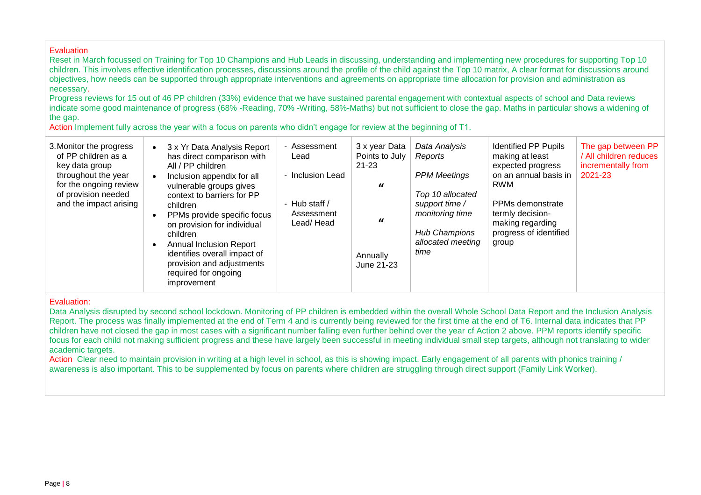Reset in March focussed on Training for Top 10 Champions and Hub Leads in discussing, understanding and implementing new procedures for supporting Top 10 children. This involves effective identification processes, discussions around the profile of the child against the Top 10 matrix, A clear format for discussions around objectives, how needs can be supported through appropriate interventions and agreements on appropriate time allocation for provision and administration as necessary.

Progress reviews for 15 out of 46 PP children (33%) evidence that we have sustained parental engagement with contextual aspects of school and Data reviews indicate some good maintenance of progress (68% -Reading, 70% -Writing, 58%-Maths) but not sufficient to close the gap. Maths in particular shows a widening of the gap.

Action Implement fully across the year with a focus on parents who didn't engage for review at the beginning of T1.

| 3. Monitor the progress<br>of PP children as a<br>key data group<br>throughout the year<br>for the ongoing review<br>of provision needed<br>and the impact arising | 3 x Yr Data Analysis Report<br>has direct comparison with<br>All / PP children<br>Inclusion appendix for all<br>vulnerable groups gives<br>context to barriers for PP<br>children<br>PPMs provide specific focus<br>on provision for individual<br>children<br><b>Annual Inclusion Report</b><br>identifies overall impact of<br>provision and adjustments<br>required for ongoing<br>improvement | - Assessment<br>Lead<br>- Inclusion Lead<br>- Hub staff /<br>Assessment<br>Lead/Head | 3 x year Data<br>Points to July<br>$21 - 23$<br>$\boldsymbol{u}$<br>$\boldsymbol{u}$<br>Annually<br>June 21-23 | Data Analysis<br>Reports<br><b>PPM Meetings</b><br>Top 10 allocated<br>support time /<br>monitoring time<br><b>Hub Champions</b><br>allocated meeting<br>time | <b>Identified PP Pupils</b><br>making at least<br>expected progress<br>on an annual basis in<br><b>RWM</b><br>PPMs demonstrate<br>termly decision-<br>making regarding<br>progress of identified<br>group | The gap between PP<br>/ All children reduces<br>incrementally from<br>2021-23 |
|--------------------------------------------------------------------------------------------------------------------------------------------------------------------|---------------------------------------------------------------------------------------------------------------------------------------------------------------------------------------------------------------------------------------------------------------------------------------------------------------------------------------------------------------------------------------------------|--------------------------------------------------------------------------------------|----------------------------------------------------------------------------------------------------------------|---------------------------------------------------------------------------------------------------------------------------------------------------------------|-----------------------------------------------------------------------------------------------------------------------------------------------------------------------------------------------------------|-------------------------------------------------------------------------------|
|--------------------------------------------------------------------------------------------------------------------------------------------------------------------|---------------------------------------------------------------------------------------------------------------------------------------------------------------------------------------------------------------------------------------------------------------------------------------------------------------------------------------------------------------------------------------------------|--------------------------------------------------------------------------------------|----------------------------------------------------------------------------------------------------------------|---------------------------------------------------------------------------------------------------------------------------------------------------------------|-----------------------------------------------------------------------------------------------------------------------------------------------------------------------------------------------------------|-------------------------------------------------------------------------------|

Evaluation:

Data Analysis disrupted by second school lockdown. Monitoring of PP children is embedded within the overall Whole School Data Report and the Inclusion Analysis Report. The process was finally implemented at the end of Term 4 and is currently being reviewed for the first time at the end of T6. Internal data indicates that PP children have not closed the gap in most cases with a significant number falling even further behind over the year cf Action 2 above. PPM reports identify specific focus for each child not making sufficient progress and these have largely been successful in meeting individual small step targets, although not translating to wider academic targets.

Action Clear need to maintain provision in writing at a high level in school, as this is showing impact. Early engagement of all parents with phonics training / awareness is also important. This to be supplemented by focus on parents where children are struggling through direct support (Family Link Worker).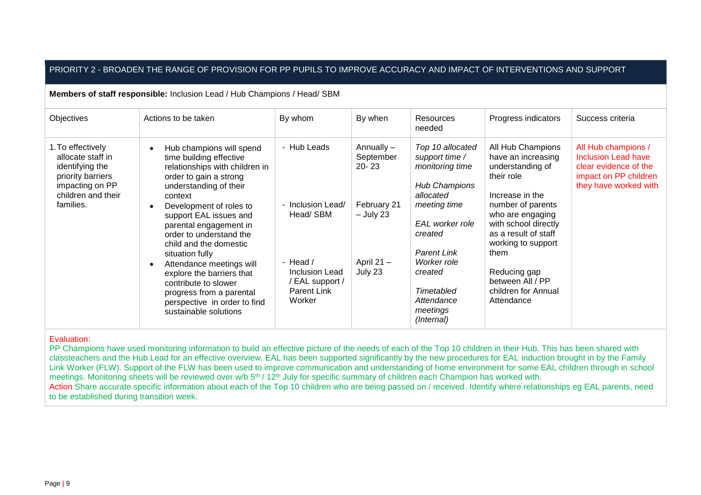### PRIORITY 2 - BROADEN THE RANGE OF PROVISION FOR PP PUPILS TO IMPROVE ACCURACY AND IMPACT OF INTERVENTIONS AND SUPPORT

**Members of staff responsible:** Inclusion Lead / Hub Champions / Head/ SBM

| Objectives                                                                                                                           | Actions to be taken                                                                                                                                                                                                                                                                                                                                                                                                                                                               | By whom                                                                                                                        | By when                                                                                     | <b>Resources</b><br>needed                                                                                                                                                                                                              | Progress indicators                                                                                                                                                                                                                                                                          | Success criteria                                                                                                             |
|--------------------------------------------------------------------------------------------------------------------------------------|-----------------------------------------------------------------------------------------------------------------------------------------------------------------------------------------------------------------------------------------------------------------------------------------------------------------------------------------------------------------------------------------------------------------------------------------------------------------------------------|--------------------------------------------------------------------------------------------------------------------------------|---------------------------------------------------------------------------------------------|-----------------------------------------------------------------------------------------------------------------------------------------------------------------------------------------------------------------------------------------|----------------------------------------------------------------------------------------------------------------------------------------------------------------------------------------------------------------------------------------------------------------------------------------------|------------------------------------------------------------------------------------------------------------------------------|
| 1. To effectively<br>allocate staff in<br>identifying the<br>priority barriers<br>impacting on PP<br>children and their<br>families. | Hub champions will spend<br>time building effective<br>relationships with children in<br>order to gain a strong<br>understanding of their<br>context<br>Development of roles to<br>support EAL issues and<br>parental engagement in<br>order to understand the<br>child and the domestic<br>situation fully<br>Attendance meetings will<br>explore the barriers that<br>contribute to slower<br>progress from a parental<br>perspective in order to find<br>sustainable solutions | - Hub Leads<br>- Inclusion Lead/<br>Head/ SBM<br>- Head $/$<br>Inclusion Lead<br>EAL support /<br><b>Parent Link</b><br>Worker | Annually -<br>September<br>$20 - 23$<br>February 21<br>– July 23<br>April $21 -$<br>July 23 | Top 10 allocated<br>support time /<br>monitoring time<br>Hub Champions<br>allocated<br>meeting time<br>EAL worker role<br>created<br><b>Parent Link</b><br>Worker role<br>created<br>Timetabled<br>Attendance<br>meetings<br>(Internal) | All Hub Champions<br>have an increasing<br>understanding of<br>their role<br>Increase in the<br>number of parents<br>who are engaging<br>with school directly<br>as a result of staff<br>working to support<br>them<br>Reducing gap<br>between All / PP<br>children for Annual<br>Attendance | All Hub champions /<br><b>Inclusion Lead have</b><br>clear evidence of the<br>impact on PP children<br>they have worked with |
|                                                                                                                                      |                                                                                                                                                                                                                                                                                                                                                                                                                                                                                   |                                                                                                                                |                                                                                             |                                                                                                                                                                                                                                         |                                                                                                                                                                                                                                                                                              |                                                                                                                              |

#### Evaluation:

PP Champions have used monitoring information to build an effective picture of the needs of each of the Top 10 children in their Hub. This has been shared with classteachers and the Hub Lead for an effective overview. EAL has been supported significantly by the new procedures for EAL induction brought in by the Family Link Worker (FLW). Support of the FLW has been used to improve communication and understanding of home environment for some EAL children through in school meetings. Monitoring sheets will be reviewed over w/b 5<sup>th</sup> / 12<sup>th</sup> July for specific summary of children each Champion has worked with. Action Share accurate specific information about each of the Top 10 children who are being passed on / received. Identify where relationships eg EAL parents, need to be established during transition week.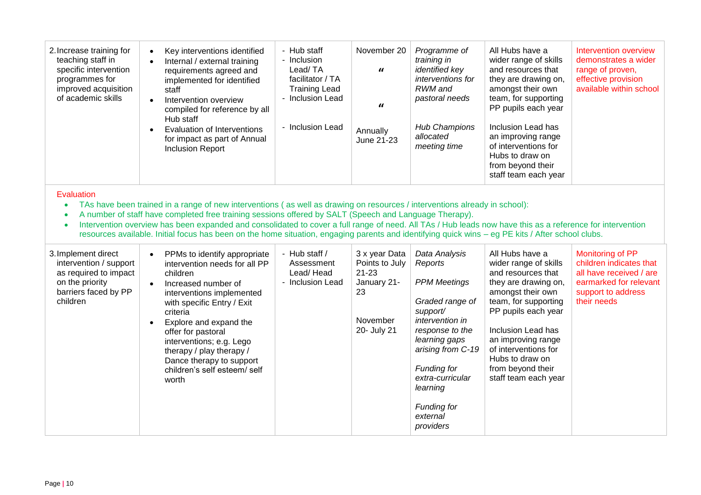| 2. Increase training for<br>teaching staff in<br>specific intervention<br>programmes for<br>improved acquisition<br>of academic skills                                                                                                                                                                                                                                                                                                                                                                                                                                                                      | Key interventions identified<br>$\bullet$<br>Internal / external training<br>requirements agreed and<br>implemented for identified<br>staff<br>Intervention overview<br>compiled for reference by all<br>Hub staff<br>Evaluation of Interventions<br>for impact as part of Annual<br><b>Inclusion Report</b>                                                                   | - Hub staff<br>- Inclusion<br>Lead/TA<br>facilitator / TA<br><b>Training Lead</b><br>- Inclusion Lead<br>- Inclusion Lead | November 20<br>$\iota$<br>$\iota$<br>Annually<br>June 21-23                                  | Programme of<br>training in<br><i>identified key</i><br>interventions for<br>RWM and<br>pastoral needs<br><b>Hub Champions</b><br>allocated<br>meeting time                                                                                                     | All Hubs have a<br>wider range of skills<br>and resources that<br>they are drawing on,<br>amongst their own<br>team, for supporting<br>PP pupils each year<br>Inclusion Lead has<br>an improving range<br>of interventions for<br>Hubs to draw on<br>from beyond their<br>staff team each year | Intervention overview<br>demonstrates a wider<br>range of proven,<br>effective provision<br>available within school                   |  |  |
|-------------------------------------------------------------------------------------------------------------------------------------------------------------------------------------------------------------------------------------------------------------------------------------------------------------------------------------------------------------------------------------------------------------------------------------------------------------------------------------------------------------------------------------------------------------------------------------------------------------|--------------------------------------------------------------------------------------------------------------------------------------------------------------------------------------------------------------------------------------------------------------------------------------------------------------------------------------------------------------------------------|---------------------------------------------------------------------------------------------------------------------------|----------------------------------------------------------------------------------------------|-----------------------------------------------------------------------------------------------------------------------------------------------------------------------------------------------------------------------------------------------------------------|------------------------------------------------------------------------------------------------------------------------------------------------------------------------------------------------------------------------------------------------------------------------------------------------|---------------------------------------------------------------------------------------------------------------------------------------|--|--|
| Evaluation<br>TAs have been trained in a range of new interventions (as well as drawing on resources / interventions already in school):<br>$\bullet$<br>A number of staff have completed free training sessions offered by SALT (Speech and Language Therapy).<br>$\bullet$<br>Intervention overview has been expanded and consolidated to cover a full range of need. All TAs / Hub leads now have this as a reference for intervention<br>$\bullet$<br>resources available. Initial focus has been on the home situation, engaging parents and identifying quick wins - eg PE kits / After school clubs. |                                                                                                                                                                                                                                                                                                                                                                                |                                                                                                                           |                                                                                              |                                                                                                                                                                                                                                                                 |                                                                                                                                                                                                                                                                                                |                                                                                                                                       |  |  |
| 3. Implement direct<br>intervention / support<br>as required to impact<br>on the priority<br>barriers faced by PP<br>children                                                                                                                                                                                                                                                                                                                                                                                                                                                                               | PPMs to identify appropriate<br>$\bullet$<br>intervention needs for all PP<br>children<br>Increased number of<br>$\bullet$<br>interventions implemented<br>with specific Entry / Exit<br>criteria<br>Explore and expand the<br>offer for pastoral<br>interventions; e.g. Lego<br>therapy / play therapy /<br>Dance therapy to support<br>children's self esteem/ self<br>worth | - Hub staff /<br>Assessment<br>Lead/Head<br>- Inclusion Lead                                                              | 3 x year Data<br>Points to July<br>$21 - 23$<br>January 21-<br>23<br>November<br>20- July 21 | Data Analysis<br>Reports<br><b>PPM Meetings</b><br>Graded range of<br>support/<br>intervention in<br>response to the<br>learning gaps<br>arising from C-19<br><b>Funding for</b><br>extra-curricular<br>learning<br><b>Funding for</b><br>external<br>providers | All Hubs have a<br>wider range of skills<br>and resources that<br>they are drawing on,<br>amongst their own<br>team, for supporting<br>PP pupils each year<br>Inclusion Lead has<br>an improving range<br>of interventions for<br>Hubs to draw on<br>from beyond their<br>staff team each year | Monitoring of PP<br>children indicates that<br>all have received / are<br>earmarked for relevant<br>support to address<br>their needs |  |  |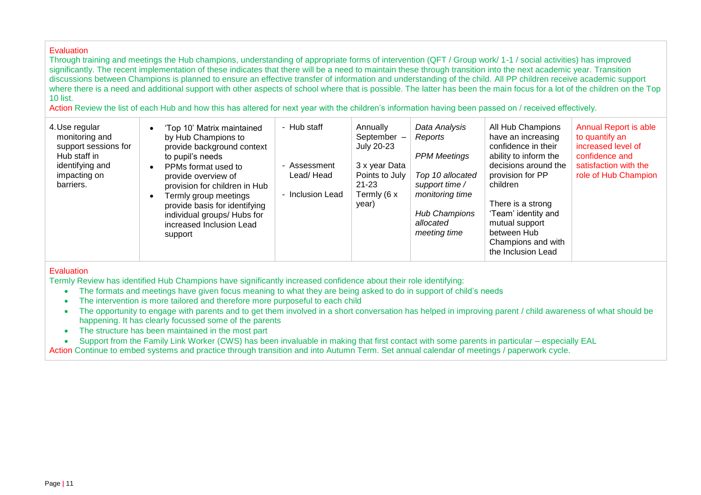Through training and meetings the Hub champions, understanding of appropriate forms of intervention (QFT / Group work/ 1-1 / social activities) has improved significantly. The recent implementation of these indicates that there will be a need to maintain these through transition into the next academic year. Transition discussions between Champions is planned to ensure an effective transfer of information and understanding of the child. All PP children receive academic support where there is a need and additional support with other aspects of school where that is possible. The latter has been the main focus for a lot of the children on the Top 10 list.

Action Review the list of each Hub and how this has altered for next year with the children's information having been passed on / received effectively.

| 4. Use regular<br>monitoring and<br>support sessions for<br>Hub staff in<br>identifying and<br>impacting on<br>barriers. | 'Top 10' Matrix maintained<br>by Hub Champions to<br>provide background context<br>to pupil's needs<br>PPMs format used to<br>- 0<br>provide overview of<br>provision for children in Hub<br>Termly group meetings<br>provide basis for identifying<br>individual groups/ Hubs for<br>increased Inclusion Lead<br>support | - Hub staff<br>Assessment<br>Lead/Head<br>- Inclusion Lead | Annually<br>September -<br>July 20-23<br>3 x year Data<br>Points to July<br>21-23<br>Termly (6 x<br>year) | Data Analysis<br>Reports<br><b>PPM Meetings</b><br>Top 10 allocated<br>support time /<br>monitoring time<br><b>Hub Champions</b><br>allocated<br>meeting time | All Hub Champions<br>have an increasing<br>confidence in their<br>ability to inform the<br>decisions around the<br>provision for PP<br>children<br>There is a strong<br>'Team' identity and<br>mutual support<br>between Hub<br>Champions and with<br>the Inclusion Lead | <b>Annual Report is able</b><br>to quantify an<br>increased level of<br>confidence and<br>satisfaction with the<br>role of Hub Champion |
|--------------------------------------------------------------------------------------------------------------------------|---------------------------------------------------------------------------------------------------------------------------------------------------------------------------------------------------------------------------------------------------------------------------------------------------------------------------|------------------------------------------------------------|-----------------------------------------------------------------------------------------------------------|---------------------------------------------------------------------------------------------------------------------------------------------------------------|--------------------------------------------------------------------------------------------------------------------------------------------------------------------------------------------------------------------------------------------------------------------------|-----------------------------------------------------------------------------------------------------------------------------------------|
|--------------------------------------------------------------------------------------------------------------------------|---------------------------------------------------------------------------------------------------------------------------------------------------------------------------------------------------------------------------------------------------------------------------------------------------------------------------|------------------------------------------------------------|-----------------------------------------------------------------------------------------------------------|---------------------------------------------------------------------------------------------------------------------------------------------------------------|--------------------------------------------------------------------------------------------------------------------------------------------------------------------------------------------------------------------------------------------------------------------------|-----------------------------------------------------------------------------------------------------------------------------------------|

# **Evaluation**

Termly Review has identified Hub Champions have significantly increased confidence about their role identifying:

- The formats and meetings have given focus meaning to what they are being asked to do in support of child's needs
- The intervention is more tailored and therefore more purposeful to each child
- The opportunity to engage with parents and to get them involved in a short conversation has helped in improving parent / child awareness of what should be happening. It has clearly focussed some of the parents
- The structure has been maintained in the most part
- Support from the Family Link Worker (CWS) has been invaluable in making that first contact with some parents in particular especially EAL

Action Continue to embed systems and practice through transition and into Autumn Term. Set annual calendar of meetings / paperwork cycle.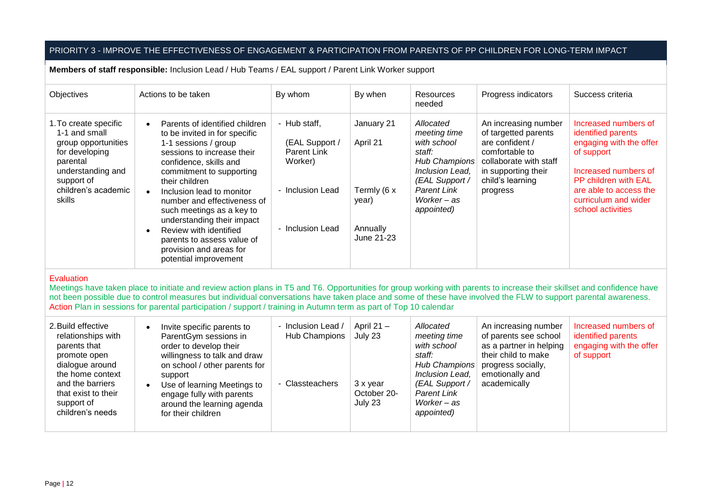# PRIORITY 3 - IMPROVE THE EFFECTIVENESS OF ENGAGEMENT & PARTICIPATION FROM PARENTS OF PP CHILDREN FOR LONG-TERM IMPACT

**Members of staff responsible:** Inclusion Lead / Hub Teams / EAL support / Parent Link Worker support

| Objectives                                                                                                                                                             | Actions to be taken                                                                                                                                                                                                                                                                                                                                                                                                                                                     | By whom                                                                                          | By when                                                                  | <b>Resources</b><br>needed                                                                                                                                         | Progress indicators                                                                                                                                                | Success criteria                                                                                                                                                                                                  |
|------------------------------------------------------------------------------------------------------------------------------------------------------------------------|-------------------------------------------------------------------------------------------------------------------------------------------------------------------------------------------------------------------------------------------------------------------------------------------------------------------------------------------------------------------------------------------------------------------------------------------------------------------------|--------------------------------------------------------------------------------------------------|--------------------------------------------------------------------------|--------------------------------------------------------------------------------------------------------------------------------------------------------------------|--------------------------------------------------------------------------------------------------------------------------------------------------------------------|-------------------------------------------------------------------------------------------------------------------------------------------------------------------------------------------------------------------|
| 1. To create specific<br>1-1 and small<br>group opportunities<br>for developing<br>parental<br>understanding and<br>support of<br>children's academic<br><b>skills</b> | Parents of identified children<br>$\bullet$<br>to be invited in for specific<br>1-1 sessions / group<br>sessions to increase their<br>confidence, skills and<br>commitment to supporting<br>their children<br>Inclusion lead to monitor<br>$\bullet$<br>number and effectiveness of<br>such meetings as a key to<br>understanding their impact<br>Review with identified<br>$\bullet$<br>parents to assess value of<br>provision and areas for<br>potential improvement | - Hub staff,<br>(EAL Support /<br>Parent Link<br>Worker)<br>- Inclusion Lead<br>- Inclusion Lead | January 21<br>April 21<br>Termly (6 x<br>year)<br>Annually<br>June 21-23 | Allocated<br>meeting time<br>with school<br>staff:<br><b>Hub Champions</b><br>Inclusion Lead.<br>(EAL Support /<br><b>Parent Link</b><br>Worker – as<br>appointed) | An increasing number<br>of targetted parents<br>are confident /<br>comfortable to<br>collaborate with staff<br>in supporting their<br>child's learning<br>progress | Increased numbers of<br>identified parents<br>engaging with the offer<br>of support<br>Increased numbers of<br><b>PP children with EAL</b><br>are able to access the<br>curriculum and wider<br>school activities |

#### **Evaluation**

Meetings have taken place to initiate and review action plans in T5 and T6. Opportunities for group working with parents to increase their skillset and confidence have not been possible due to control measures but individual conversations have taken place and some of these have involved the FLW to support parental awareness. Action Plan in sessions for parental participation / support / training in Autumn term as part of Top 10 calendar

| 2. Build effective<br>- Inclusion Lead /<br>Invite specific parents to<br>relationships with<br>Hub Champions<br>ParentGym sessions in<br>parents that<br>order to develop their<br>willingness to talk and draw<br>promote open<br>dialogue around<br>on school / other parents for<br>the home context<br>support<br>and the barriers<br>- Classteachers<br>Use of learning Meetings to<br>that exist to their<br>engage fully with parents<br>support of<br>around the learning agenda<br>children's needs<br>for their children | Increased numbers of<br>Allocated<br>An increasing number<br>April 21 $-$<br>of parents see school<br>identified parents<br>July 23<br>meeting time<br>engaging with the offer<br>as a partner in helping<br>with school<br>their child to make<br>of support<br>staff:<br>Hub Champions<br>progress socially,<br>Inclusion Lead,<br>emotionally and<br>academically<br>(EAL Support /<br>3 x year<br>October 20-<br><b>Parent Link</b><br>Worker-as<br>July 23<br>appointed) |
|-------------------------------------------------------------------------------------------------------------------------------------------------------------------------------------------------------------------------------------------------------------------------------------------------------------------------------------------------------------------------------------------------------------------------------------------------------------------------------------------------------------------------------------|-------------------------------------------------------------------------------------------------------------------------------------------------------------------------------------------------------------------------------------------------------------------------------------------------------------------------------------------------------------------------------------------------------------------------------------------------------------------------------|
|-------------------------------------------------------------------------------------------------------------------------------------------------------------------------------------------------------------------------------------------------------------------------------------------------------------------------------------------------------------------------------------------------------------------------------------------------------------------------------------------------------------------------------------|-------------------------------------------------------------------------------------------------------------------------------------------------------------------------------------------------------------------------------------------------------------------------------------------------------------------------------------------------------------------------------------------------------------------------------------------------------------------------------|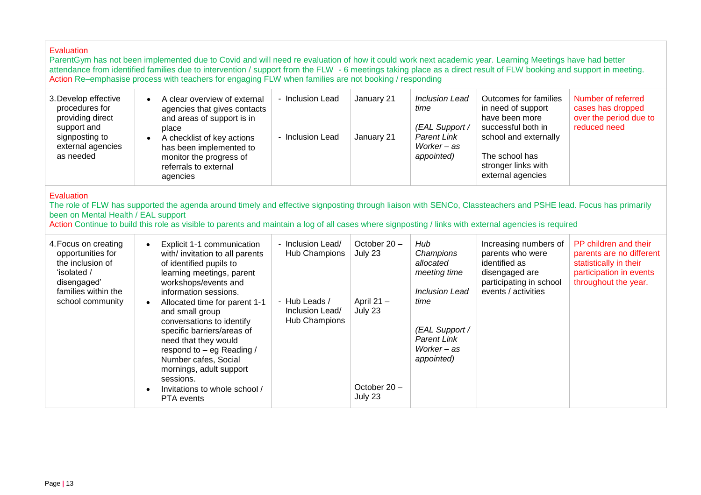ParentGym has not been implemented due to Covid and will need re evaluation of how it could work next academic year. Learning Meetings have had better attendance from identified families due to intervention / support from the FLW - 6 meetings taking place as a direct result of FLW booking and support in meeting. Action Re–emphasise process with teachers for engaging FLW when families are not booking / responding

| 3. Develop effective<br>procedures for<br>providing direct<br>support and | A clear overview of external<br>agencies that gives contacts<br>and areas of support is in<br>place                   | - Inclusion Lead | January 21 | <b>Inclusion Lead</b><br>time<br>(EAL Support / | Outcomes for families<br>in need of support<br>have been more<br>successful both in | Number of referred<br>cases has dropped<br>over the period due to<br>reduced need |
|---------------------------------------------------------------------------|-----------------------------------------------------------------------------------------------------------------------|------------------|------------|-------------------------------------------------|-------------------------------------------------------------------------------------|-----------------------------------------------------------------------------------|
| signposting to<br>external agencies<br>as needed                          | A checklist of key actions<br>has been implemented to<br>monitor the progress of<br>referrals to external<br>agencies | - Inclusion Lead | January 21 | <b>Parent Link</b><br>Worker – as<br>appointed) | school and externally<br>The school has<br>stronger links with<br>external agencies |                                                                                   |

#### **Evaluation**

The role of FLW has supported the agenda around timely and effective signposting through liaison with SENCo, Classteachers and PSHE lead. Focus has primarily been on Mental Health / EAL support

Action Continue to build this role as visible to parents and maintain a log of all cases where signposting / links with external agencies is required

| 4. Focus on creating<br>opportunities for<br>the inclusion of<br>'isolated /<br>disengaged'<br>families within the | Explicit 1-1 communication<br>$\bullet$<br>with/ invitation to all parents<br>of identified pupils to<br>learning meetings, parent<br>workshops/events and<br>information sessions.                                                                                                                 | - Inclusion Lead/<br>Hub Champions                | October $20 -$<br>July 23                            | Hub<br>Champions<br>allocated<br>meeting time<br><b>Inclusion Lead</b>    | Increasing numbers of<br>parents who were<br>identified as<br>disengaged are<br>participating in school<br>events / activities | PP children and their<br>parents are no different<br>statistically in their<br>participation in events<br>throughout the year. |
|--------------------------------------------------------------------------------------------------------------------|-----------------------------------------------------------------------------------------------------------------------------------------------------------------------------------------------------------------------------------------------------------------------------------------------------|---------------------------------------------------|------------------------------------------------------|---------------------------------------------------------------------------|--------------------------------------------------------------------------------------------------------------------------------|--------------------------------------------------------------------------------------------------------------------------------|
| school community                                                                                                   | Allocated time for parent 1-1<br>$\bullet$<br>and small group<br>conversations to identify<br>specific barriers/areas of<br>need that they would<br>respond to - eg Reading /<br>Number cafes, Social<br>mornings, adult support<br>sessions.<br>Invitations to whole school /<br><b>PTA</b> events | - Hub Leads /<br>Inclusion Lead/<br>Hub Champions | April $21 -$<br>July 23<br>October $20 -$<br>July 23 | time<br>(EAL Support /<br><b>Parent Link</b><br>Worker – as<br>appointed) |                                                                                                                                |                                                                                                                                |